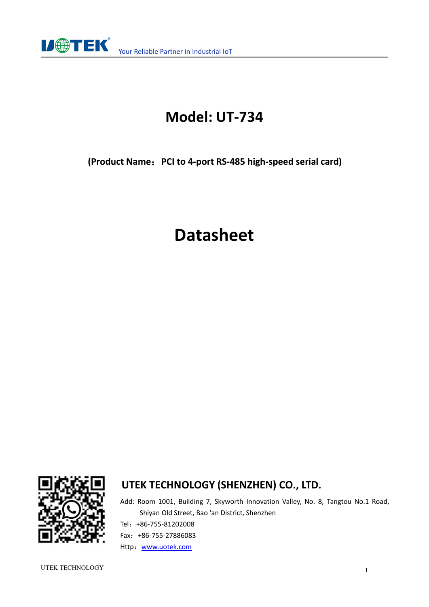

## **Model: UT-734**

**(Product Name**:**PCI to 4-port RS-485 high-speed serial card)**

# **Datasheet**



#### **UTEK TECHNOLOGY (SHENZHEN) CO., LTD.**

Add: Room 1001, Building 7, Skyworth Innovation Valley, No. 8, Tangtou No.1 Road, Shiyan Old Street, Bao 'an District, Shenzhen Tel:+86-755-81202008 Fax:+86-755-27886083 Http: [www.uotek.com](http://www.uotek.com)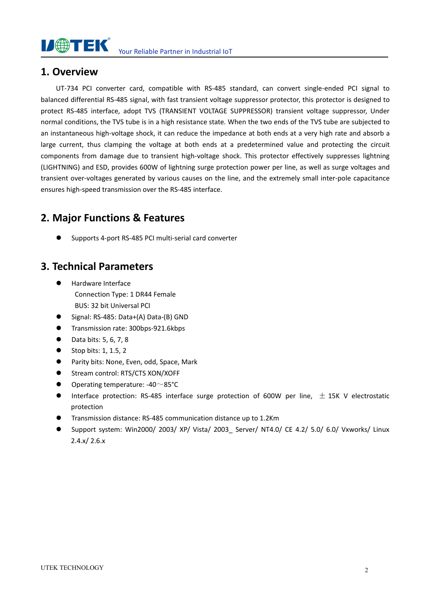

#### **1. Overview**

UT-734 PCI converter card, compatible with RS-485 standard, can convert single-ended PCI signal to balanced differential RS-485 signal, with fast transient voltage suppressor protector, this protector is designed to protect RS-485 interface, adopt TVS (TRANSIENT VOLTAGE SUPPRESSOR) transient voltage suppressor, Under normal conditions, the TVS tube is in a high resistance state. When the two ends of the TVS tube are subjected to an instantaneous high-voltage shock, it can reduce the impedance at both ends at a very high rate and absorb a large current, thus clamping the voltage at both ends at a predetermined value and protecting the circuit components from damage due to transient high-voltage shock. This protector effectively suppresses lightning (LIGHTNING) and ESD, provides 600W of lightning surge protection power per line, as well as surge voltages and transient over-voltages generated by various causes on the line, and the extremely small inter-pole capacitance ensures high-speed transmission over the RS-485 interface.

#### **2. Major Functions & Features**

Supports 4-port RS-485 PCI multi-serial card converter

#### **3. Technical Parameters**

- Hardware Interface Connection Type: 1 DR44 Female BUS: 32 bit Universal PCI
- Signal: RS-485: Data+(A) Data-(B) GND
- Transmission rate: 300bps-921.6kbps
- $\bullet$  Data bits: 5, 6, 7, 8
- $\bullet$  Stop bits: 1, 1.5, 2
- Parity bits: None, Even, odd, Space, Mark
- **Stream control: RTS/CTS XON/XOFF**
- Operating temperature: -40~85°C
- **Interface protection: RS-485 interface surge protection of 600W per line,**  $\pm$  **15K V electrostatic** protection
- Transmission distance: RS-485 communication distance up to 1.2Km
- Support system: Win2000/ 2003/ XP/ Vista/ 2003\_ Server/ NT4.0/ CE 4.2/ 5.0/ 6.0/ Vxworks/ Linux 2.4.x/ 2.6.x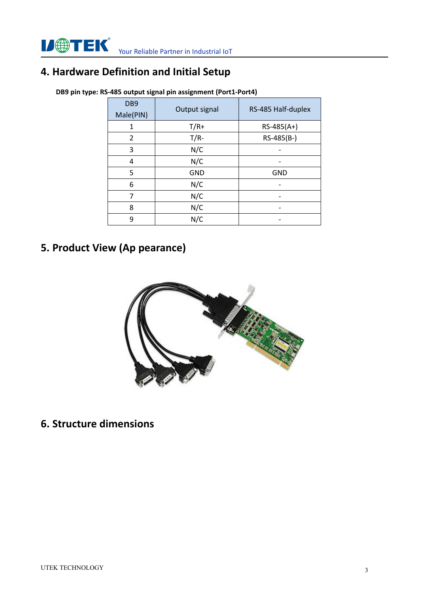## **4. Hardware Definition and Initial Setup**

| DB <sub>9</sub><br>Male(PIN) | Output signal | RS-485 Half-duplex       |
|------------------------------|---------------|--------------------------|
| 1                            | $T/R+$        | $RS-485(A+)$             |
| 2                            | $T/R-$        | RS-485(B-)               |
| 3                            | N/C           | -                        |
| 4                            | N/C           |                          |
| 5                            | <b>GND</b>    | <b>GND</b>               |
| 6                            | N/C           |                          |
| 7                            | N/C           |                          |
| 8                            | N/C           | $\overline{\phantom{a}}$ |
| 9                            | N/C           |                          |

**DB9 pin type: RS-485 output signal pin assignment (Port1-Port4)**

### **5. Product View (Ap pearance)**



**6. Structure dimensions**